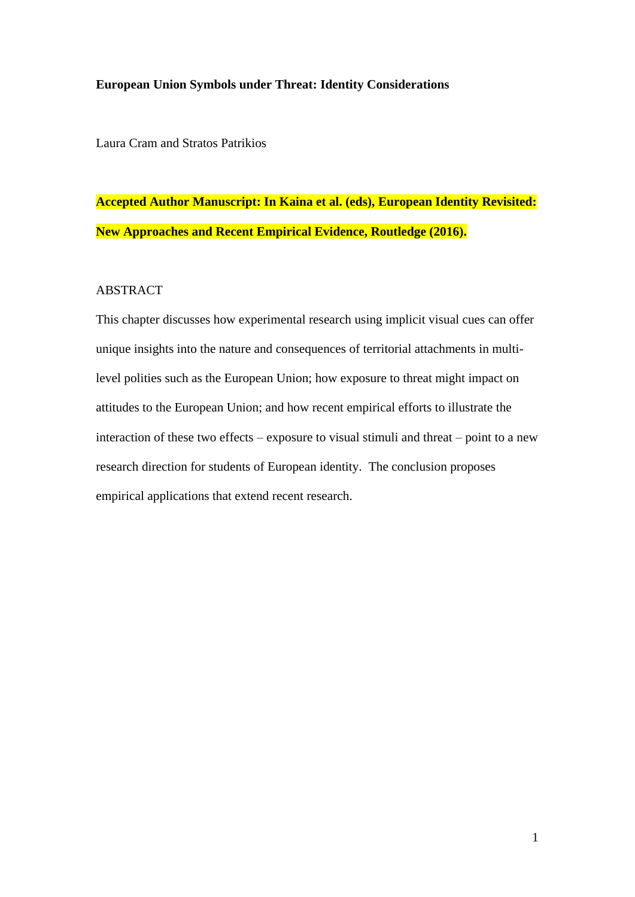## **European Union Symbols under Threat: Identity Considerations**

Laura Cram and Stratos Patrikios

# **Accepted Author Manuscript: In Kaina et al. (eds), European Identity Revisited: New Approaches and Recent Empirical Evidence, Routledge (2016).**

# ABSTRACT

This chapter discusses how experimental research using implicit visual cues can offer unique insights into the nature and consequences of territorial attachments in multilevel polities such as the European Union; how exposure to threat might impact on attitudes to the European Union; and how recent empirical efforts to illustrate the interaction of these two effects – exposure to visual stimuli and threat – point to a new research direction for students of European identity. The conclusion proposes empirical applications that extend recent research.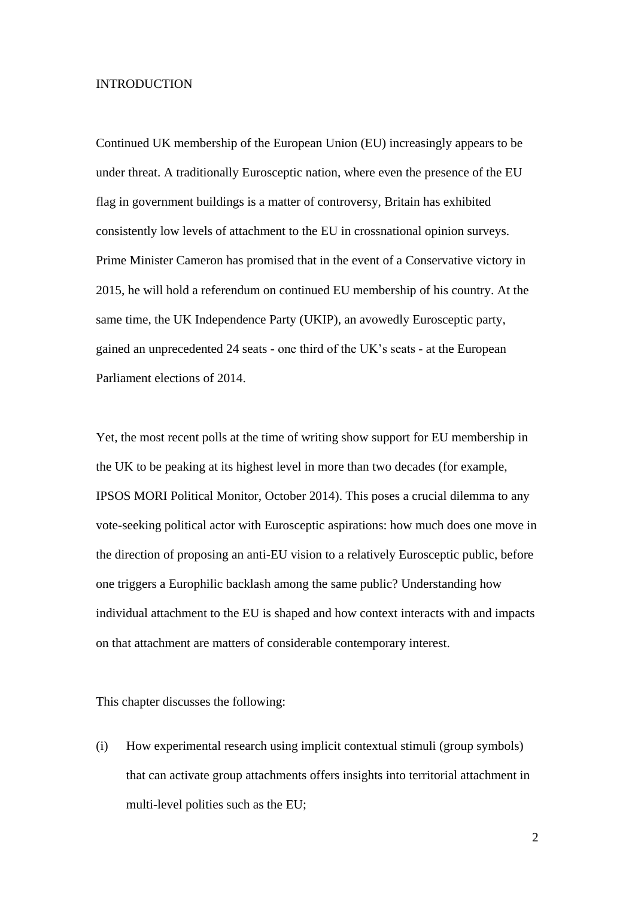## INTRODUCTION

Continued UK membership of the European Union (EU) increasingly appears to be under threat. A traditionally Eurosceptic nation, where even the presence of the EU flag in government buildings is a matter of controversy, Britain has exhibited consistently low levels of attachment to the EU in crossnational opinion surveys. Prime Minister Cameron has promised that in the event of a Conservative victory in 2015, he will hold a referendum on continued EU membership of his country. At the same time, the UK Independence Party (UKIP), an avowedly Eurosceptic party, gained an unprecedented 24 seats - one third of the UK"s seats - at the European Parliament elections of 2014.

Yet, the most recent polls at the time of writing show support for EU membership in the UK to be peaking at its highest level in more than two decades (for example, IPSOS MORI Political Monitor, October 2014). This poses a crucial dilemma to any vote-seeking political actor with Eurosceptic aspirations: how much does one move in the direction of proposing an anti-EU vision to a relatively Eurosceptic public, before one triggers a Europhilic backlash among the same public? Understanding how individual attachment to the EU is shaped and how context interacts with and impacts on that attachment are matters of considerable contemporary interest.

This chapter discusses the following:

(i) How experimental research using implicit contextual stimuli (group symbols) that can activate group attachments offers insights into territorial attachment in multi-level polities such as the EU;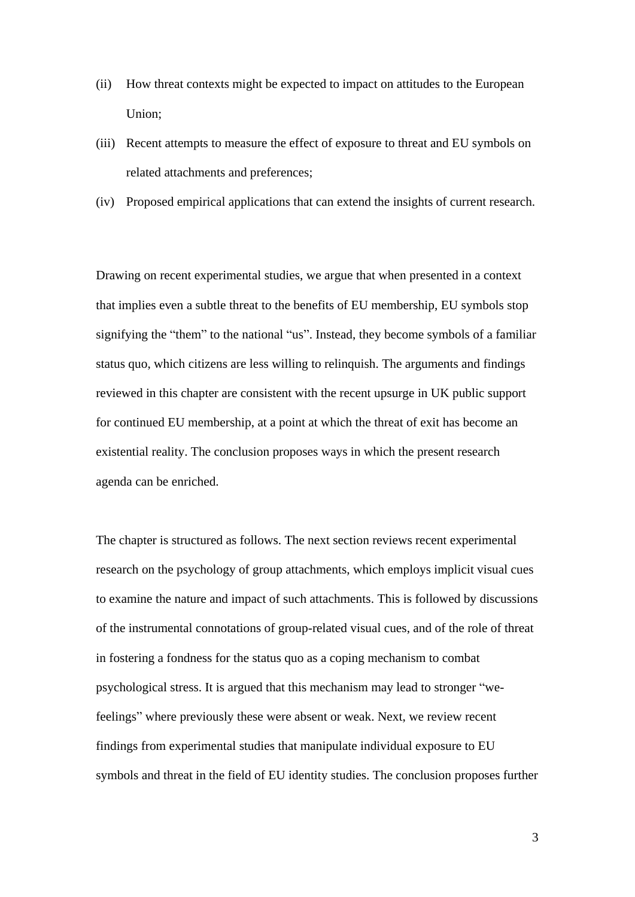- (ii) How threat contexts might be expected to impact on attitudes to the European Union;
- (iii) Recent attempts to measure the effect of exposure to threat and EU symbols on related attachments and preferences;
- (iv) Proposed empirical applications that can extend the insights of current research.

Drawing on recent experimental studies, we argue that when presented in a context that implies even a subtle threat to the benefits of EU membership, EU symbols stop signifying the "them" to the national "us". Instead, they become symbols of a familiar status quo, which citizens are less willing to relinquish. The arguments and findings reviewed in this chapter are consistent with the recent upsurge in UK public support for continued EU membership, at a point at which the threat of exit has become an existential reality. The conclusion proposes ways in which the present research agenda can be enriched.

The chapter is structured as follows. The next section reviews recent experimental research on the psychology of group attachments, which employs implicit visual cues to examine the nature and impact of such attachments. This is followed by discussions of the instrumental connotations of group-related visual cues, and of the role of threat in fostering a fondness for the status quo as a coping mechanism to combat psychological stress. It is argued that this mechanism may lead to stronger "wefeelings" where previously these were absent or weak. Next, we review recent findings from experimental studies that manipulate individual exposure to EU symbols and threat in the field of EU identity studies. The conclusion proposes further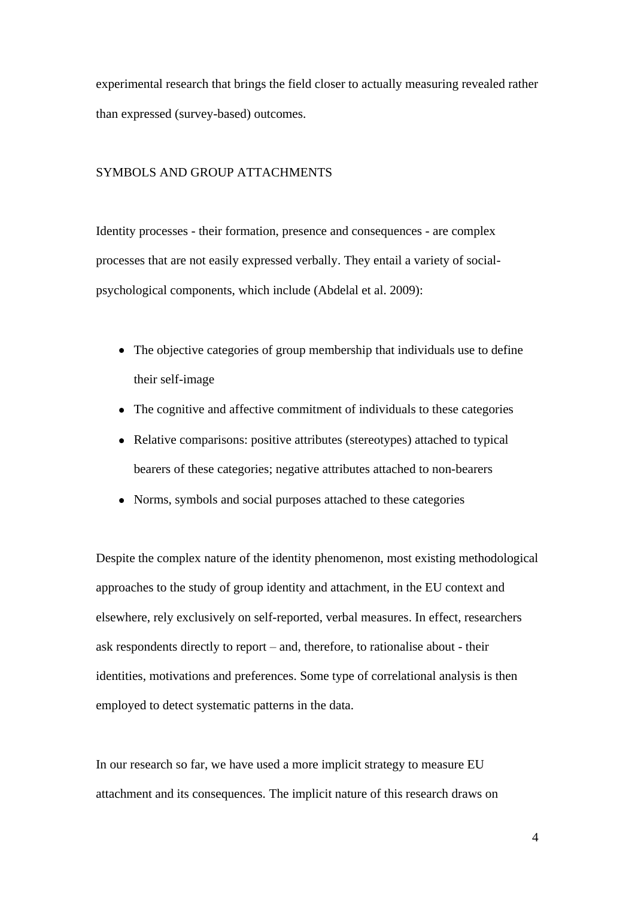experimental research that brings the field closer to actually measuring revealed rather than expressed (survey-based) outcomes.

# SYMBOLS AND GROUP ATTACHMENTS

Identity processes - their formation, presence and consequences - are complex processes that are not easily expressed verbally. They entail a variety of socialpsychological components, which include (Abdelal et al. 2009):

- The objective categories of group membership that individuals use to define their self-image
- The cognitive and affective commitment of individuals to these categories
- Relative comparisons: positive attributes (stereotypes) attached to typical bearers of these categories; negative attributes attached to non-bearers
- Norms, symbols and social purposes attached to these categories

Despite the complex nature of the identity phenomenon, most existing methodological approaches to the study of group identity and attachment, in the EU context and elsewhere, rely exclusively on self-reported, verbal measures. In effect, researchers ask respondents directly to report – and, therefore, to rationalise about - their identities, motivations and preferences. Some type of correlational analysis is then employed to detect systematic patterns in the data.

In our research so far, we have used a more implicit strategy to measure EU attachment and its consequences. The implicit nature of this research draws on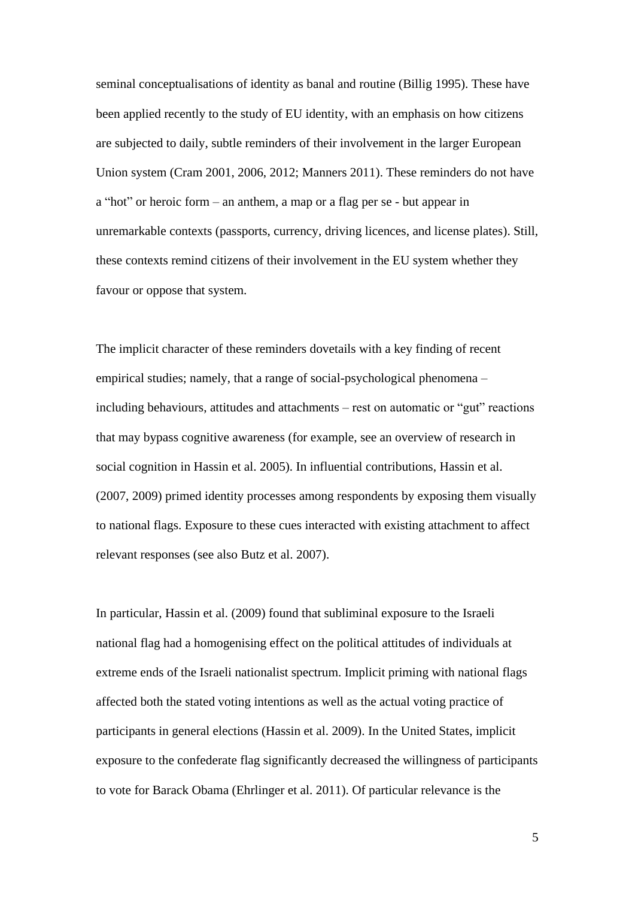seminal conceptualisations of identity as banal and routine (Billig 1995). These have been applied recently to the study of EU identity, with an emphasis on how citizens are subjected to daily, subtle reminders of their involvement in the larger European Union system (Cram 2001, 2006, 2012; Manners 2011). These reminders do not have a "hot" or heroic form – an anthem, a map or a flag per se - but appear in unremarkable contexts (passports, currency, driving licences, and license plates). Still, these contexts remind citizens of their involvement in the EU system whether they favour or oppose that system.

The implicit character of these reminders dovetails with a key finding of recent empirical studies; namely, that a range of social-psychological phenomena – including behaviours, attitudes and attachments – rest on automatic or "gut" reactions that may bypass cognitive awareness (for example, see an overview of research in social cognition in Hassin et al. 2005). In influential contributions, Hassin et al. (2007, 2009) primed identity processes among respondents by exposing them visually to national flags. Exposure to these cues interacted with existing attachment to affect relevant responses (see also Butz et al. 2007).

In particular, Hassin et al. (2009) found that subliminal exposure to the Israeli national flag had a homogenising effect on the political attitudes of individuals at extreme ends of the Israeli nationalist spectrum. Implicit priming with national flags affected both the stated voting intentions as well as the actual voting practice of participants in general elections (Hassin et al. 2009). In the United States, implicit exposure to the confederate flag significantly decreased the willingness of participants to vote for Barack Obama (Ehrlinger et al. 2011). Of particular relevance is the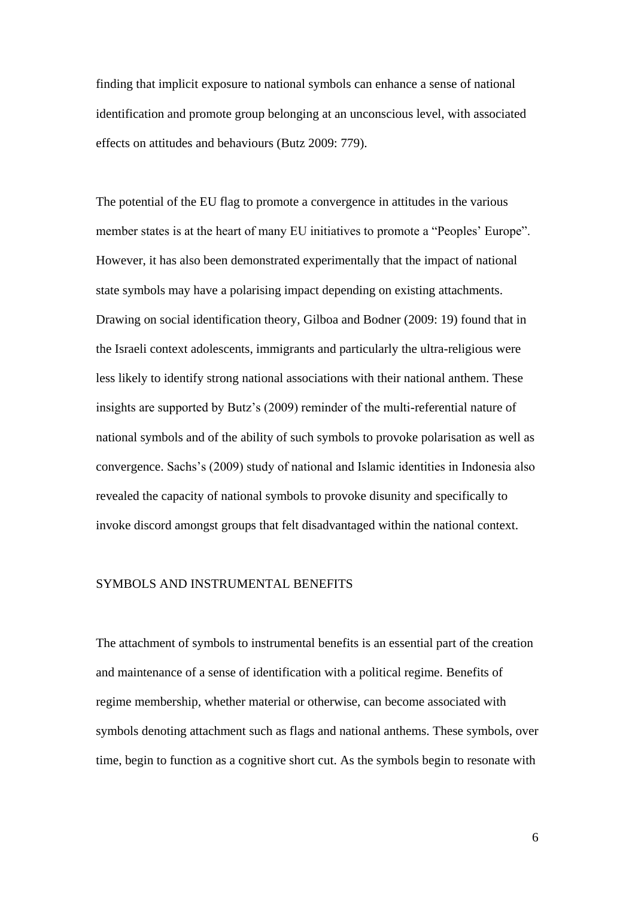finding that implicit exposure to national symbols can enhance a sense of national identification and promote group belonging at an unconscious level, with associated effects on attitudes and behaviours (Butz 2009: 779).

The potential of the EU flag to promote a convergence in attitudes in the various member states is at the heart of many EU initiatives to promote a "Peoples' Europe". However, it has also been demonstrated experimentally that the impact of national state symbols may have a polarising impact depending on existing attachments. Drawing on social identification theory, Gilboa and Bodner (2009: 19) found that in the Israeli context adolescents, immigrants and particularly the ultra-religious were less likely to identify strong national associations with their national anthem. These insights are supported by Butz"s (2009) reminder of the multi-referential nature of national symbols and of the ability of such symbols to provoke polarisation as well as convergence. Sachs"s (2009) study of national and Islamic identities in Indonesia also revealed the capacity of national symbols to provoke disunity and specifically to invoke discord amongst groups that felt disadvantaged within the national context.

### SYMBOLS AND INSTRUMENTAL BENEFITS

The attachment of symbols to instrumental benefits is an essential part of the creation and maintenance of a sense of identification with a political regime. Benefits of regime membership, whether material or otherwise, can become associated with symbols denoting attachment such as flags and national anthems. These symbols, over time, begin to function as a cognitive short cut. As the symbols begin to resonate with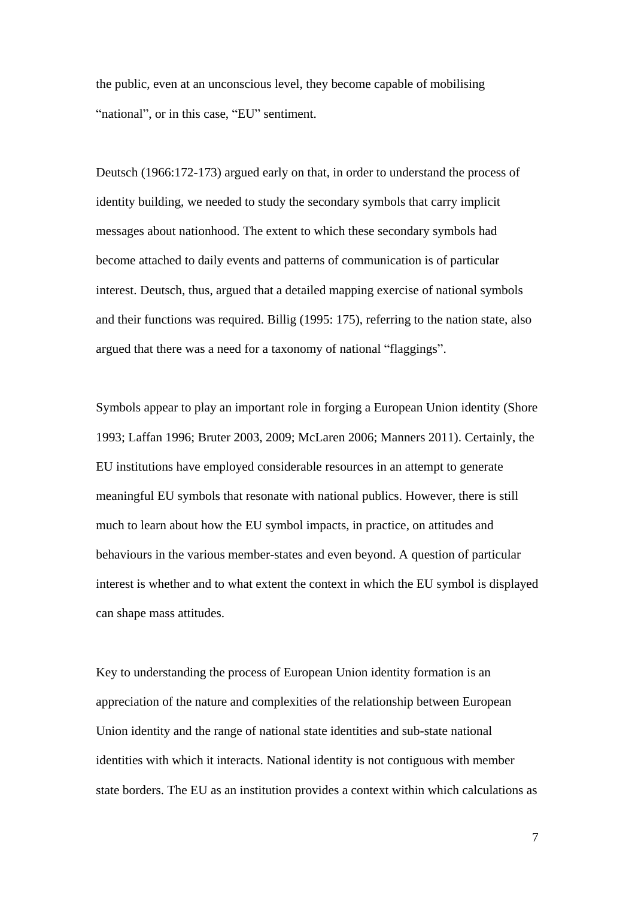the public, even at an unconscious level, they become capable of mobilising "national", or in this case, "EU" sentiment.

Deutsch (1966:172-173) argued early on that, in order to understand the process of identity building, we needed to study the secondary symbols that carry implicit messages about nationhood. The extent to which these secondary symbols had become attached to daily events and patterns of communication is of particular interest. Deutsch, thus, argued that a detailed mapping exercise of national symbols and their functions was required. Billig (1995: 175), referring to the nation state, also argued that there was a need for a taxonomy of national "flaggings".

Symbols appear to play an important role in forging a European Union identity (Shore 1993; Laffan 1996; Bruter 2003, 2009; McLaren 2006; Manners 2011). Certainly, the EU institutions have employed considerable resources in an attempt to generate meaningful EU symbols that resonate with national publics. However, there is still much to learn about how the EU symbol impacts, in practice, on attitudes and behaviours in the various member-states and even beyond. A question of particular interest is whether and to what extent the context in which the EU symbol is displayed can shape mass attitudes.

Key to understanding the process of European Union identity formation is an appreciation of the nature and complexities of the relationship between European Union identity and the range of national state identities and sub-state national identities with which it interacts. National identity is not contiguous with member state borders. The EU as an institution provides a context within which calculations as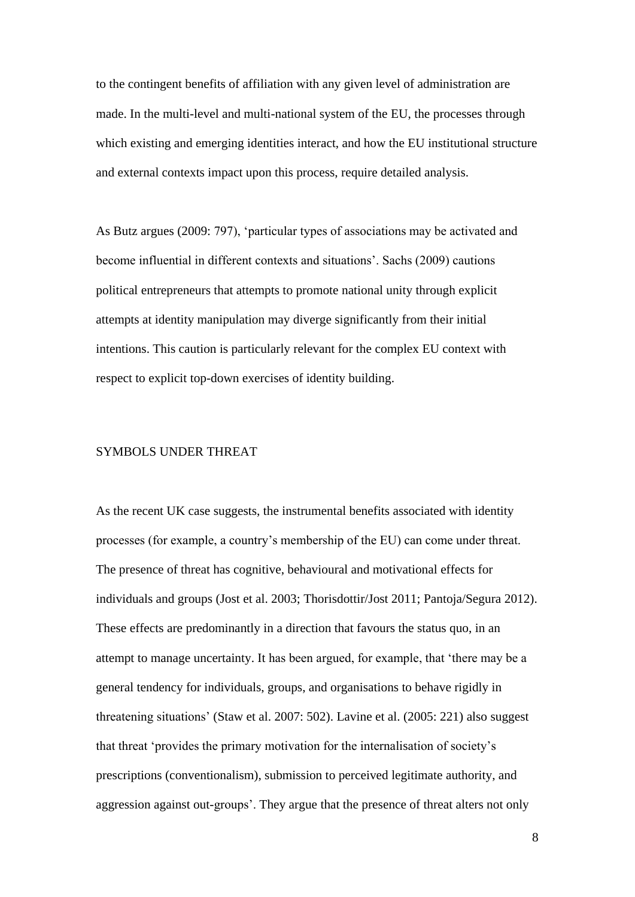to the contingent benefits of affiliation with any given level of administration are made. In the multi-level and multi-national system of the EU, the processes through which existing and emerging identities interact, and how the EU institutional structure and external contexts impact upon this process, require detailed analysis.

As Butz argues (2009: 797), "particular types of associations may be activated and become influential in different contexts and situations". Sachs (2009) cautions political entrepreneurs that attempts to promote national unity through explicit attempts at identity manipulation may diverge significantly from their initial intentions. This caution is particularly relevant for the complex EU context with respect to explicit top-down exercises of identity building.

## SYMBOLS UNDER THREAT

As the recent UK case suggests, the instrumental benefits associated with identity processes (for example, a country"s membership of the EU) can come under threat. The presence of threat has cognitive, behavioural and motivational effects for individuals and groups (Jost et al. 2003; Thorisdottir/Jost 2011; Pantoja/Segura 2012). These effects are predominantly in a direction that favours the status quo, in an attempt to manage uncertainty. It has been argued, for example, that "there may be a general tendency for individuals, groups, and organisations to behave rigidly in threatening situations" (Staw et al. 2007: 502). Lavine et al. (2005: 221) also suggest that threat "provides the primary motivation for the internalisation of society"s prescriptions (conventionalism), submission to perceived legitimate authority, and aggression against out-groups'. They argue that the presence of threat alters not only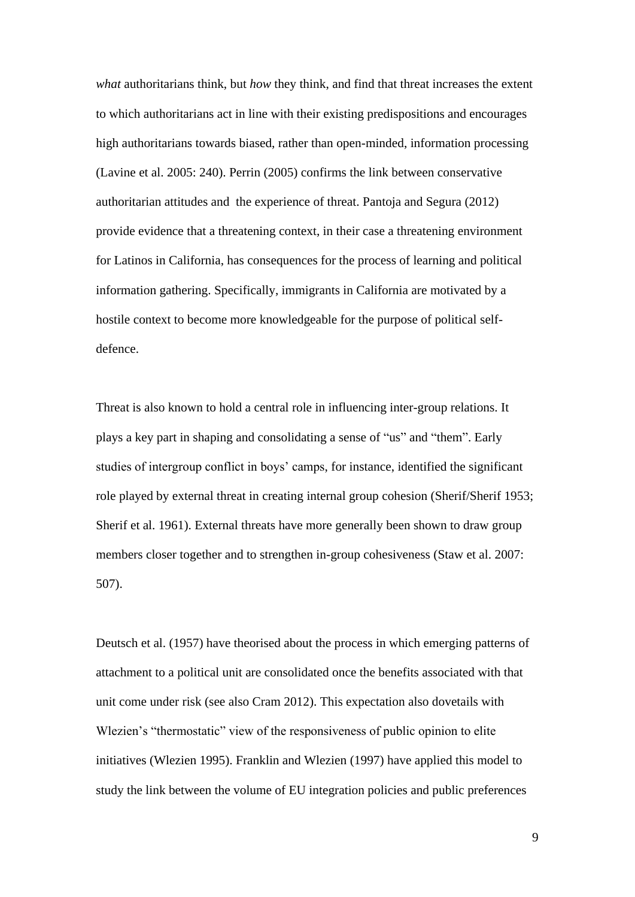*what* authoritarians think, but *how* they think, and find that threat increases the extent to which authoritarians act in line with their existing predispositions and encourages high authoritarians towards biased, rather than open-minded, information processing (Lavine et al. 2005: 240). Perrin (2005) confirms the link between conservative authoritarian attitudes and the experience of threat. Pantoja and Segura (2012) provide evidence that a threatening context, in their case a threatening environment for Latinos in California, has consequences for the process of learning and political information gathering. Specifically, immigrants in California are motivated by a hostile context to become more knowledgeable for the purpose of political selfdefence.

Threat is also known to hold a central role in influencing inter-group relations. It plays a key part in shaping and consolidating a sense of "us" and "them". Early studies of intergroup conflict in boys' camps, for instance, identified the significant role played by external threat in creating internal group cohesion (Sherif/Sherif 1953; Sherif et al. 1961). External threats have more generally been shown to draw group members closer together and to strengthen in-group cohesiveness (Staw et al. 2007: 507).

Deutsch et al. (1957) have theorised about the process in which emerging patterns of attachment to a political unit are consolidated once the benefits associated with that unit come under risk (see also Cram 2012). This expectation also dovetails with Wlezien's "thermostatic" view of the responsiveness of public opinion to elite initiatives (Wlezien 1995). Franklin and Wlezien (1997) have applied this model to study the link between the volume of EU integration policies and public preferences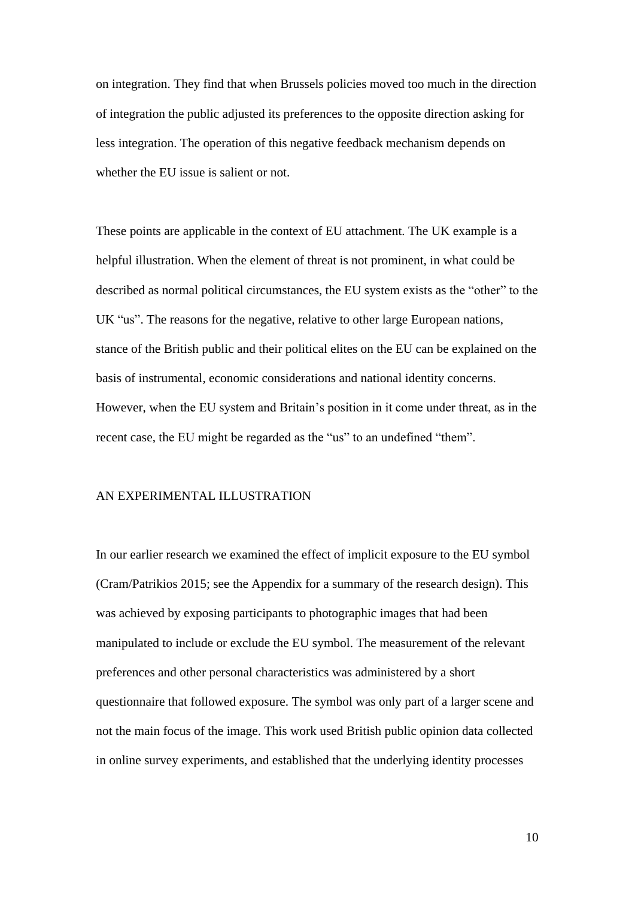on integration. They find that when Brussels policies moved too much in the direction of integration the public adjusted its preferences to the opposite direction asking for less integration. The operation of this negative feedback mechanism depends on whether the EU issue is salient or not.

These points are applicable in the context of EU attachment. The UK example is a helpful illustration. When the element of threat is not prominent, in what could be described as normal political circumstances, the EU system exists as the "other" to the UK "us". The reasons for the negative, relative to other large European nations, stance of the British public and their political elites on the EU can be explained on the basis of instrumental, economic considerations and national identity concerns. However, when the EU system and Britain"s position in it come under threat, as in the recent case, the EU might be regarded as the "us" to an undefined "them".

## AN EXPERIMENTAL ILLUSTRATION

In our earlier research we examined the effect of implicit exposure to the EU symbol (Cram/Patrikios 2015; see the Appendix for a summary of the research design). This was achieved by exposing participants to photographic images that had been manipulated to include or exclude the EU symbol. The measurement of the relevant preferences and other personal characteristics was administered by a short questionnaire that followed exposure. The symbol was only part of a larger scene and not the main focus of the image. This work used British public opinion data collected in online survey experiments, and established that the underlying identity processes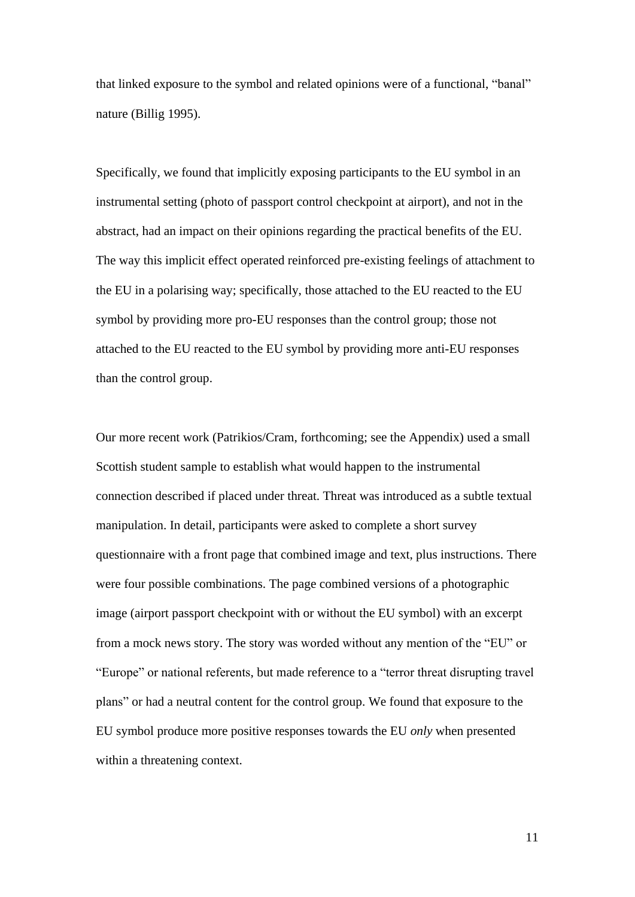that linked exposure to the symbol and related opinions were of a functional, "banal" nature (Billig 1995).

Specifically, we found that implicitly exposing participants to the EU symbol in an instrumental setting (photo of passport control checkpoint at airport), and not in the abstract, had an impact on their opinions regarding the practical benefits of the EU. The way this implicit effect operated reinforced pre-existing feelings of attachment to the EU in a polarising way; specifically, those attached to the EU reacted to the EU symbol by providing more pro-EU responses than the control group; those not attached to the EU reacted to the EU symbol by providing more anti-EU responses than the control group.

Our more recent work (Patrikios/Cram, forthcoming; see the Appendix) used a small Scottish student sample to establish what would happen to the instrumental connection described if placed under threat. Threat was introduced as a subtle textual manipulation. In detail, participants were asked to complete a short survey questionnaire with a front page that combined image and text, plus instructions. There were four possible combinations. The page combined versions of a photographic image (airport passport checkpoint with or without the EU symbol) with an excerpt from a mock news story. The story was worded without any mention of the "EU" or "Europe" or national referents, but made reference to a "terror threat disrupting travel plans" or had a neutral content for the control group. We found that exposure to the EU symbol produce more positive responses towards the EU *only* when presented within a threatening context.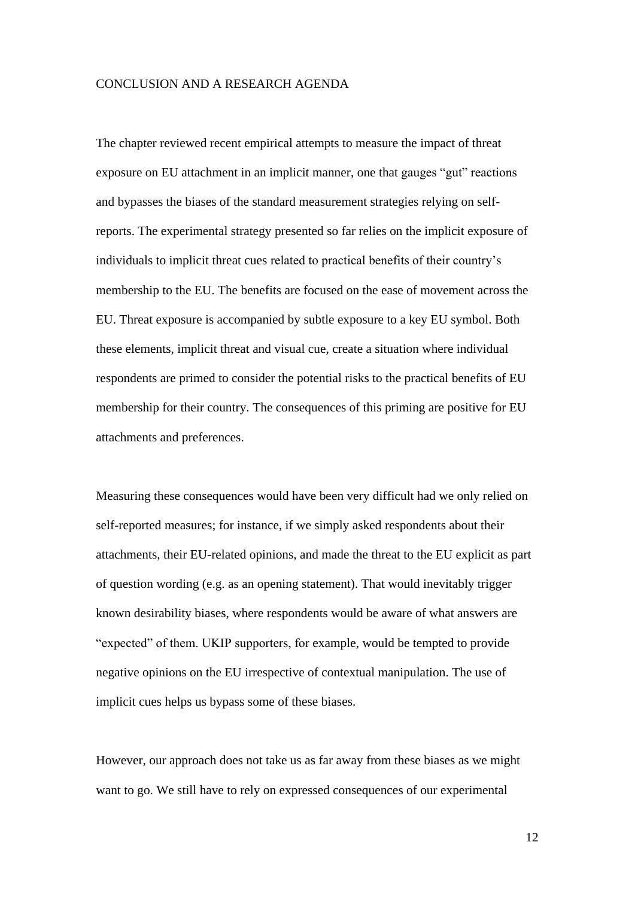#### CONCLUSION AND A RESEARCH AGENDA

The chapter reviewed recent empirical attempts to measure the impact of threat exposure on EU attachment in an implicit manner, one that gauges "gut" reactions and bypasses the biases of the standard measurement strategies relying on selfreports. The experimental strategy presented so far relies on the implicit exposure of individuals to implicit threat cues related to practical benefits of their country"s membership to the EU. The benefits are focused on the ease of movement across the EU. Threat exposure is accompanied by subtle exposure to a key EU symbol. Both these elements, implicit threat and visual cue, create a situation where individual respondents are primed to consider the potential risks to the practical benefits of EU membership for their country. The consequences of this priming are positive for EU attachments and preferences.

Measuring these consequences would have been very difficult had we only relied on self-reported measures; for instance, if we simply asked respondents about their attachments, their EU-related opinions, and made the threat to the EU explicit as part of question wording (e.g. as an opening statement). That would inevitably trigger known desirability biases, where respondents would be aware of what answers are "expected" of them. UKIP supporters, for example, would be tempted to provide negative opinions on the EU irrespective of contextual manipulation. The use of implicit cues helps us bypass some of these biases.

However, our approach does not take us as far away from these biases as we might want to go. We still have to rely on expressed consequences of our experimental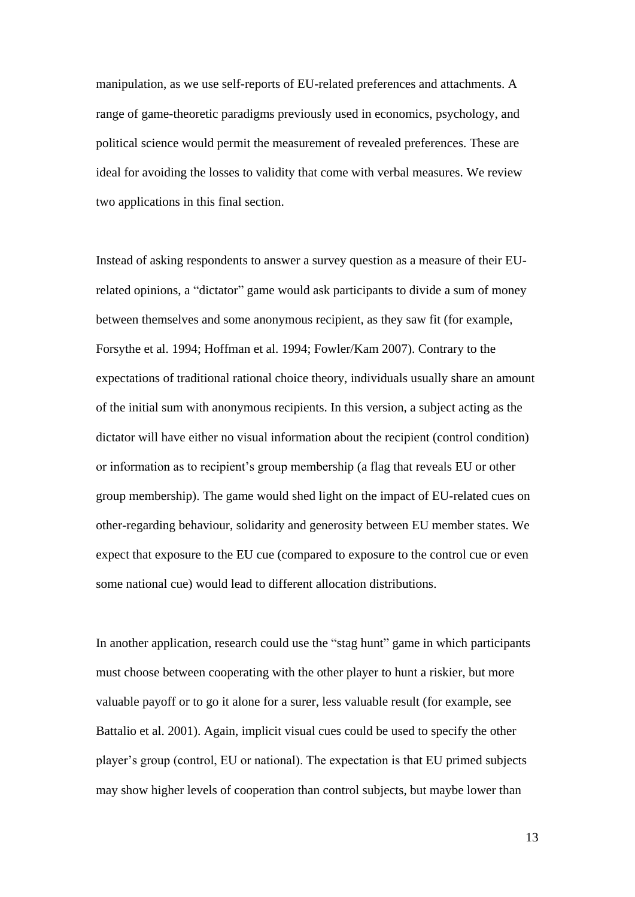manipulation, as we use self-reports of EU-related preferences and attachments. A range of game-theoretic paradigms previously used in economics, psychology, and political science would permit the measurement of revealed preferences. These are ideal for avoiding the losses to validity that come with verbal measures. We review two applications in this final section.

Instead of asking respondents to answer a survey question as a measure of their EUrelated opinions, a "dictator" game would ask participants to divide a sum of money between themselves and some anonymous recipient, as they saw fit (for example, Forsythe et al. 1994; Hoffman et al. 1994; Fowler/Kam 2007). Contrary to the expectations of traditional rational choice theory, individuals usually share an amount of the initial sum with anonymous recipients. In this version, a subject acting as the dictator will have either no visual information about the recipient (control condition) or information as to recipient"s group membership (a flag that reveals EU or other group membership). The game would shed light on the impact of EU-related cues on other-regarding behaviour, solidarity and generosity between EU member states. We expect that exposure to the EU cue (compared to exposure to the control cue or even some national cue) would lead to different allocation distributions.

In another application, research could use the "stag hunt" game in which participants must choose between cooperating with the other player to hunt a riskier, but more valuable payoff or to go it alone for a surer, less valuable result (for example, see Battalio et al. 2001). Again, implicit visual cues could be used to specify the other player"s group (control, EU or national). The expectation is that EU primed subjects may show higher levels of cooperation than control subjects, but maybe lower than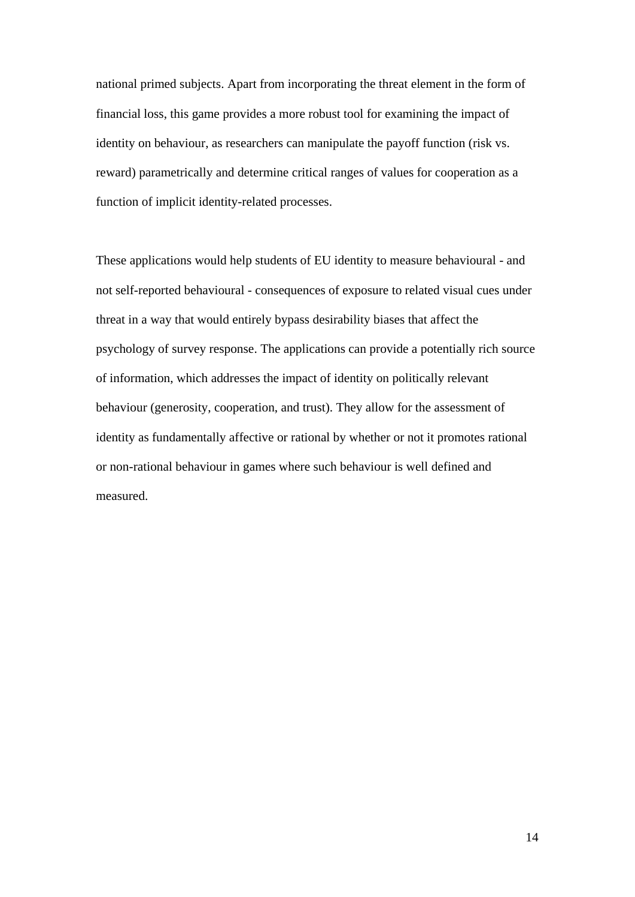national primed subjects. Apart from incorporating the threat element in the form of financial loss, this game provides a more robust tool for examining the impact of identity on behaviour, as researchers can manipulate the payoff function (risk vs. reward) parametrically and determine critical ranges of values for cooperation as a function of implicit identity-related processes.

These applications would help students of EU identity to measure behavioural - and not self-reported behavioural - consequences of exposure to related visual cues under threat in a way that would entirely bypass desirability biases that affect the psychology of survey response. The applications can provide a potentially rich source of information, which addresses the impact of identity on politically relevant behaviour (generosity, cooperation, and trust). They allow for the assessment of identity as fundamentally affective or rational by whether or not it promotes rational or non-rational behaviour in games where such behaviour is well defined and measured.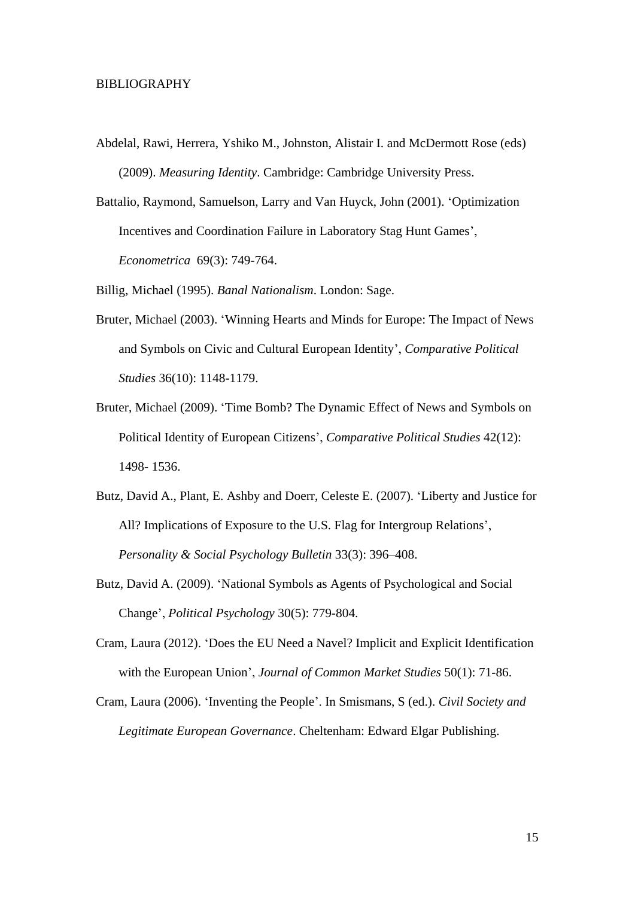## BIBLIOGRAPHY

- Abdelal, Rawi, Herrera, Yshiko M., Johnston, Alistair I. and McDermott Rose (eds) (2009). *Measuring Identity*. Cambridge: Cambridge University Press.
- Battalio, Raymond, Samuelson, Larry and Van Huyck, John (2001). "Optimization Incentives and Coordination Failure in Laboratory Stag Hunt Games', *Econometrica* 69(3): 749-764.

Billig, Michael (1995). *Banal Nationalism*. London: Sage.

- Bruter, Michael (2003). "Winning Hearts and Minds for Europe: The Impact of News and Symbols on Civic and Cultural European Identity", *Comparative Political Studies* 36(10): 1148-1179.
- Bruter, Michael (2009). "Time Bomb? The Dynamic Effect of News and Symbols on Political Identity of European Citizens", *Comparative Political Studies* 42(12): 1498- 1536.
- Butz, David A., Plant, E. Ashby and Doerr, Celeste E. (2007). "Liberty and Justice for All? Implications of Exposure to the U.S. Flag for Intergroup Relations', *Personality & Social Psychology Bulletin* 33(3): 396–408.
- Butz, David A. (2009). "National Symbols as Agents of Psychological and Social Change", *Political Psychology* 30(5): 779-804.
- Cram, Laura (2012). "Does the EU Need a Navel? Implicit and Explicit Identification with the European Union", *Journal of Common Market Studies* 50(1): 71-86.
- Cram, Laura (2006). "Inventing the People". In Smismans, S (ed.). *Civil Society and Legitimate European Governance*. Cheltenham: Edward Elgar Publishing.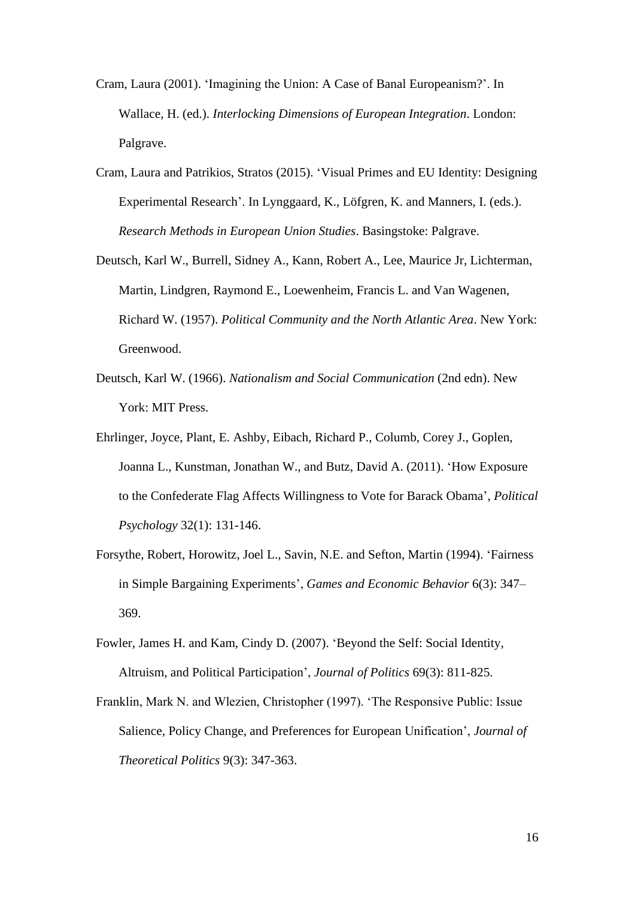- Cram, Laura (2001). "Imagining the Union: A Case of Banal Europeanism?". In Wallace, H. (ed.). *Interlocking Dimensions of European Integration*. London: Palgrave.
- Cram, Laura and Patrikios, Stratos (2015). "Visual Primes and EU Identity: Designing Experimental Research". In Lynggaard, K., Löfgren, K. and Manners, I. (eds.). *Research Methods in European Union Studies*. Basingstoke: Palgrave.
- Deutsch, Karl W., Burrell, Sidney A., Kann, Robert A., Lee, Maurice Jr, Lichterman, Martin, Lindgren, Raymond E., Loewenheim, Francis L. and Van Wagenen, Richard W. (1957). *Political Community and the North Atlantic Area*. New York: Greenwood.
- Deutsch, Karl W. (1966). *Nationalism and Social Communication* (2nd edn). New York: MIT Press.
- Ehrlinger, Joyce, Plant, E. Ashby, Eibach, Richard P., Columb, Corey J., Goplen, Joanna L., Kunstman, Jonathan W., and Butz, David A. (2011). "How Exposure to the Confederate Flag Affects Willingness to Vote for Barack Obama", *Political Psychology* 32(1): 131-146.
- Forsythe, Robert, Horowitz, Joel L., Savin, N.E. and Sefton, Martin (1994). "Fairness in Simple Bargaining Experiments", *Games and Economic Behavior* 6(3): 347– 369.
- Fowler, James H. and Kam, Cindy D. (2007). "Beyond the Self: Social Identity, Altruism, and Political Participation", *Journal of Politics* 69(3): 811-825.
- Franklin, Mark N. and Wlezien, Christopher (1997). "The Responsive Public: Issue Salience, Policy Change, and Preferences for European Unification", *Journal of Theoretical Politics* 9(3): 347-363.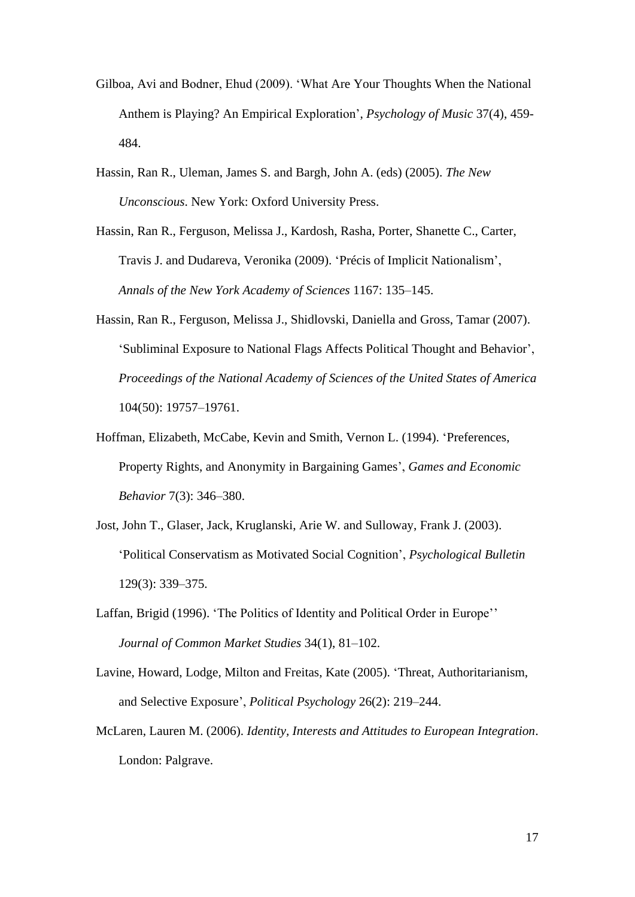- Gilboa, Avi and Bodner, Ehud (2009). "What Are Your Thoughts When the National Anthem is Playing? An Empirical Exploration", *Psychology of Music* 37(4), 459- 484.
- Hassin, Ran R., Uleman, James S. and Bargh, John A. (eds) (2005). *The New Unconscious*. New York: Oxford University Press.
- Hassin, Ran R., Ferguson, Melissa J., Kardosh, Rasha, Porter, Shanette C., Carter, Travis J. and Dudareva, Veronika (2009). "Précis of Implicit Nationalism", *Annals of the New York Academy of Sciences* 1167: 135–145.
- Hassin, Ran R., Ferguson, Melissa J., Shidlovski, Daniella and Gross, Tamar (2007). "Subliminal Exposure to National Flags Affects Political Thought and Behavior", *Proceedings of the National Academy of Sciences of the United States of America* 104(50): 19757–19761.
- Hoffman, Elizabeth, McCabe, Kevin and Smith, Vernon L. (1994). "Preferences, Property Rights, and Anonymity in Bargaining Games", *Games and Economic Behavior* 7(3): 346–380.
- Jost, John T., Glaser, Jack, Kruglanski, Arie W. and Sulloway, Frank J. (2003). "Political Conservatism as Motivated Social Cognition", *Psychological Bulletin* 129(3): 339–375.
- Laffan, Brigid (1996). 'The Politics of Identity and Political Order in Europe'' *Journal of Common Market Studies* 34(1), 81–102.
- Lavine, Howard, Lodge, Milton and Freitas, Kate (2005). "Threat, Authoritarianism, and Selective Exposure", *Political Psychology* 26(2): 219–244.
- McLaren, Lauren M. (2006). *Identity, Interests and Attitudes to European Integration*. London: Palgrave.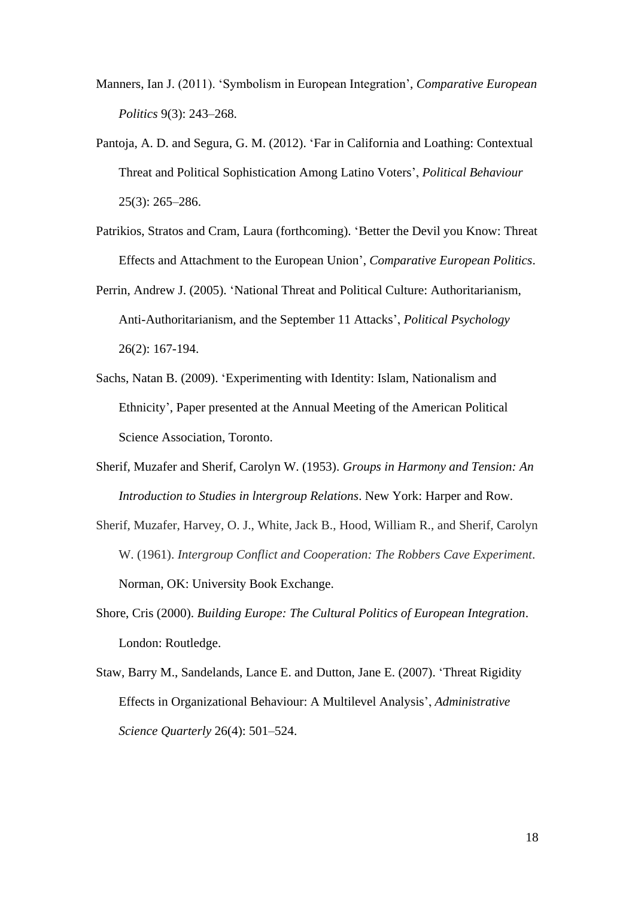- Manners, Ian J. (2011). "Symbolism in European Integration", *Comparative European Politics* 9(3): 243–268.
- Pantoja, A. D. and Segura, G. M. (2012). "Far in California and Loathing: Contextual Threat and Political Sophistication Among Latino Voters", *Political Behaviour* 25(3): 265–286.
- Patrikios, Stratos and Cram, Laura (forthcoming). "Better the Devil you Know: Threat Effects and Attachment to the European Union", *Comparative European Politics*.
- Perrin, Andrew J. (2005). "National Threat and Political Culture: Authoritarianism, Anti-Authoritarianism, and the September 11 Attacks", *Political Psychology* 26(2): 167-194.
- Sachs, Natan B. (2009). "Experimenting with Identity: Islam, Nationalism and Ethnicity", Paper presented at the Annual Meeting of the American Political Science Association, Toronto.
- Sherif, Muzafer and Sherif, Carolyn W. (1953). *Groups in Harmony and Tension: An Introduction to Studies in lntergroup Relations*. New York: Harper and Row.
- Sherif, Muzafer, Harvey, O. J., White, Jack B., Hood, William R., and Sherif, Carolyn W. (1961). *Intergroup Conflict and Cooperation: The Robbers Cave Experiment*. Norman, OK: University Book Exchange.
- Shore, Cris (2000). *Building Europe: The Cultural Politics of European Integration*. London: Routledge.
- Staw, Barry M., Sandelands, Lance E. and Dutton, Jane E. (2007). "Threat Rigidity Effects in Organizational Behaviour: A Multilevel Analysis", *Administrative Science Quarterly* 26(4): 501–524.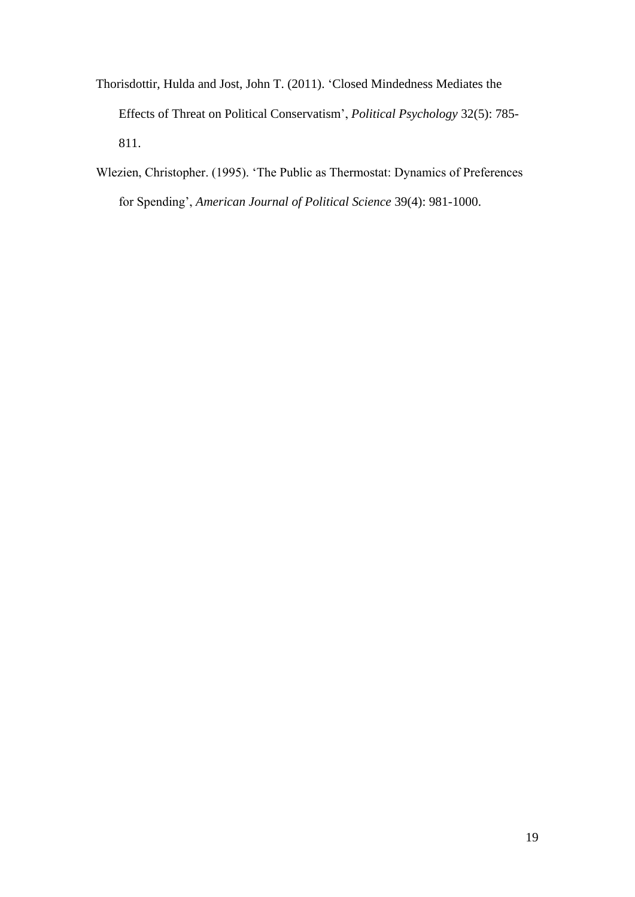- Thorisdottir, Hulda and Jost, John T. (2011). "Closed Mindedness Mediates the Effects of Threat on Political Conservatism", *Political Psychology* 32(5): 785- 811.
- Wlezien, Christopher. (1995). "The Public as Thermostat: Dynamics of Preferences for Spending", *American Journal of Political Science* 39(4): 981-1000.